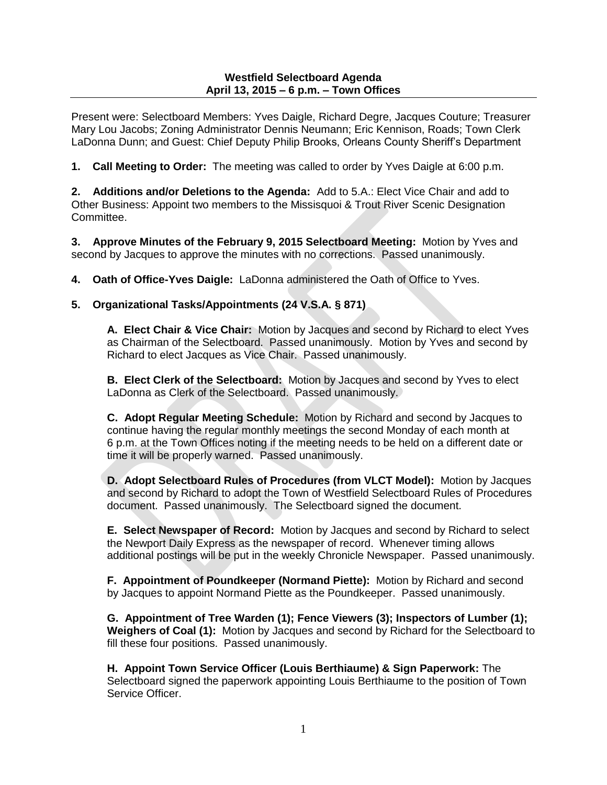### **Westfield Selectboard Agenda April 13, 2015 – 6 p.m. – Town Offices**

Present were: Selectboard Members: Yves Daigle, Richard Degre, Jacques Couture; Treasurer Mary Lou Jacobs; Zoning Administrator Dennis Neumann; Eric Kennison, Roads; Town Clerk LaDonna Dunn; and Guest: Chief Deputy Philip Brooks, Orleans County Sheriff's Department

**1. Call Meeting to Order:** The meeting was called to order by Yves Daigle at 6:00 p.m.

**2. Additions and/or Deletions to the Agenda:** Add to 5.A.: Elect Vice Chair and add to Other Business: Appoint two members to the Missisquoi & Trout River Scenic Designation Committee.

**3. Approve Minutes of the February 9, 2015 Selectboard Meeting:** Motion by Yves and second by Jacques to approve the minutes with no corrections. Passed unanimously.

**4. Oath of Office-Yves Daigle:** LaDonna administered the Oath of Office to Yves.

# **5. Organizational Tasks/Appointments (24 V.S.A. § 871)**

**A. Elect Chair & Vice Chair:** Motion by Jacques and second by Richard to elect Yves as Chairman of the Selectboard. Passed unanimously. Motion by Yves and second by Richard to elect Jacques as Vice Chair. Passed unanimously.

**B. Elect Clerk of the Selectboard:** Motion by Jacques and second by Yves to elect LaDonna as Clerk of the Selectboard. Passed unanimously.

**C. Adopt Regular Meeting Schedule:** Motion by Richard and second by Jacques to continue having the regular monthly meetings the second Monday of each month at 6 p.m. at the Town Offices noting if the meeting needs to be held on a different date or time it will be properly warned. Passed unanimously.

**D. Adopt Selectboard Rules of Procedures (from VLCT Model):** Motion by Jacques and second by Richard to adopt the Town of Westfield Selectboard Rules of Procedures document. Passed unanimously. The Selectboard signed the document.

**E. Select Newspaper of Record:** Motion by Jacques and second by Richard to select the Newport Daily Express as the newspaper of record. Whenever timing allows additional postings will be put in the weekly Chronicle Newspaper. Passed unanimously.

**F. Appointment of Poundkeeper (Normand Piette):** Motion by Richard and second by Jacques to appoint Normand Piette as the Poundkeeper. Passed unanimously.

**G. Appointment of Tree Warden (1); Fence Viewers (3); Inspectors of Lumber (1); Weighers of Coal (1):** Motion by Jacques and second by Richard for the Selectboard to fill these four positions. Passed unanimously.

**H. Appoint Town Service Officer (Louis Berthiaume) & Sign Paperwork:** The Selectboard signed the paperwork appointing Louis Berthiaume to the position of Town Service Officer.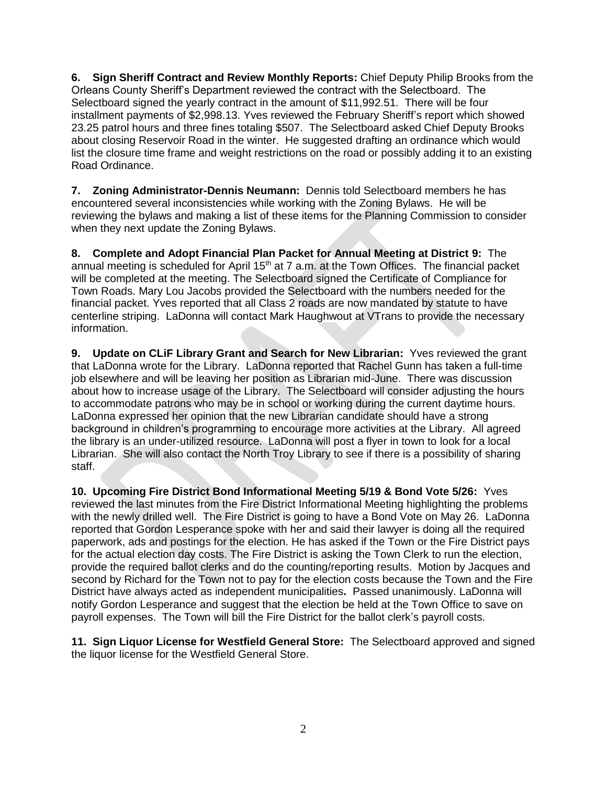**6. Sign Sheriff Contract and Review Monthly Reports:** Chief Deputy Philip Brooks from the Orleans County Sheriff's Department reviewed the contract with the Selectboard. The Selectboard signed the yearly contract in the amount of \$11,992.51. There will be four installment payments of \$2,998.13. Yves reviewed the February Sheriff's report which showed 23.25 patrol hours and three fines totaling \$507. The Selectboard asked Chief Deputy Brooks about closing Reservoir Road in the winter. He suggested drafting an ordinance which would list the closure time frame and weight restrictions on the road or possibly adding it to an existing Road Ordinance.

**7. Zoning Administrator-Dennis Neumann:** Dennis told Selectboard members he has encountered several inconsistencies while working with the Zoning Bylaws. He will be reviewing the bylaws and making a list of these items for the Planning Commission to consider when they next update the Zoning Bylaws.

**8. Complete and Adopt Financial Plan Packet for Annual Meeting at District 9:** The annual meeting is scheduled for April 15<sup>th</sup> at 7 a.m. at the Town Offices. The financial packet will be completed at the meeting. The Selectboard signed the Certificate of Compliance for Town Roads. Mary Lou Jacobs provided the Selectboard with the numbers needed for the financial packet. Yves reported that all Class 2 roads are now mandated by statute to have centerline striping. LaDonna will contact Mark Haughwout at VTrans to provide the necessary information.

**9. Update on CLiF Library Grant and Search for New Librarian:** Yves reviewed the grant that LaDonna wrote for the Library. LaDonna reported that Rachel Gunn has taken a full-time job elsewhere and will be leaving her position as Librarian mid-June. There was discussion about how to increase usage of the Library. The Selectboard will consider adjusting the hours to accommodate patrons who may be in school or working during the current daytime hours. LaDonna expressed her opinion that the new Librarian candidate should have a strong background in children's programming to encourage more activities at the Library. All agreed the library is an under-utilized resource. LaDonna will post a flyer in town to look for a local Librarian. She will also contact the North Troy Library to see if there is a possibility of sharing staff.

**10. Upcoming Fire District Bond Informational Meeting 5/19 & Bond Vote 5/26:** Yves reviewed the last minutes from the Fire District Informational Meeting highlighting the problems with the newly drilled well. The Fire District is going to have a Bond Vote on May 26. LaDonna reported that Gordon Lesperance spoke with her and said their lawyer is doing all the required paperwork, ads and postings for the election. He has asked if the Town or the Fire District pays for the actual election day costs. The Fire District is asking the Town Clerk to run the election, provide the required ballot clerks and do the counting/reporting results. Motion by Jacques and second by Richard for the Town not to pay for the election costs because the Town and the Fire District have always acted as independent municipalities**.** Passed unanimously. LaDonna will notify Gordon Lesperance and suggest that the election be held at the Town Office to save on payroll expenses. The Town will bill the Fire District for the ballot clerk's payroll costs.

**11. Sign Liquor License for Westfield General Store:** The Selectboard approved and signed the liquor license for the Westfield General Store.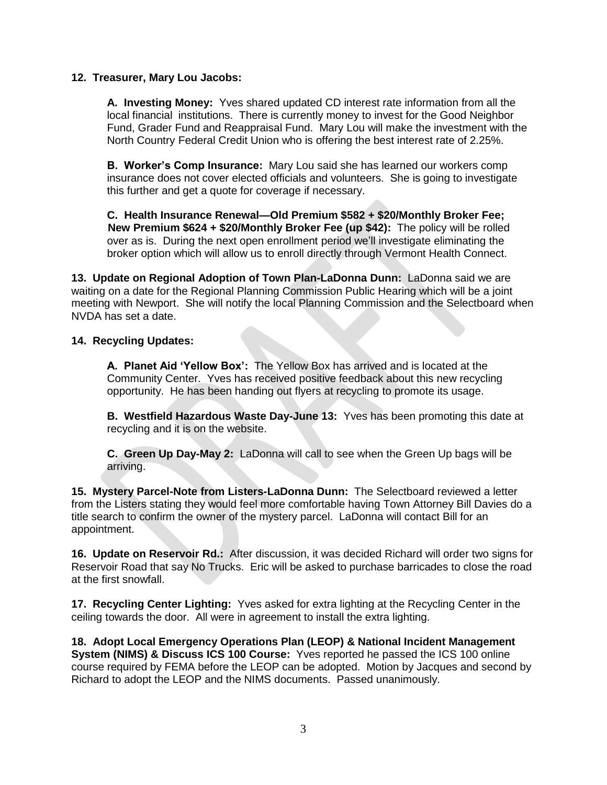## **12. Treasurer, Mary Lou Jacobs:**

**A. Investing Money:** Yves shared updated CD interest rate information from all the local financial institutions. There is currently money to invest for the Good Neighbor Fund, Grader Fund and Reappraisal Fund. Mary Lou will make the investment with the North Country Federal Credit Union who is offering the best interest rate of 2.25%.

**B. Worker's Comp Insurance:** Mary Lou said she has learned our workers comp insurance does not cover elected officials and volunteers. She is going to investigate this further and get a quote for coverage if necessary.

**C. Health Insurance Renewal—Old Premium \$582 + \$20/Monthly Broker Fee; New Premium \$624 + \$20/Monthly Broker Fee (up \$42):** The policy will be rolled over as is. During the next open enrollment period we'll investigate eliminating the broker option which will allow us to enroll directly through Vermont Health Connect.

**13. Update on Regional Adoption of Town Plan-LaDonna Dunn:** LaDonna said we are waiting on a date for the Regional Planning Commission Public Hearing which will be a joint meeting with Newport. She will notify the local Planning Commission and the Selectboard when NVDA has set a date.

## **14. Recycling Updates:**

**A. Planet Aid 'Yellow Box':** The Yellow Box has arrived and is located at the Community Center. Yves has received positive feedback about this new recycling opportunity. He has been handing out flyers at recycling to promote its usage.

**B. Westfield Hazardous Waste Day-June 13:** Yves has been promoting this date at recycling and it is on the website.

**C. Green Up Day-May 2:** LaDonna will call to see when the Green Up bags will be arriving.

**15. Mystery Parcel-Note from Listers-LaDonna Dunn:** The Selectboard reviewed a letter from the Listers stating they would feel more comfortable having Town Attorney Bill Davies do a title search to confirm the owner of the mystery parcel. LaDonna will contact Bill for an appointment.

**16. Update on Reservoir Rd.:** After discussion, it was decided Richard will order two signs for Reservoir Road that say No Trucks. Eric will be asked to purchase barricades to close the road at the first snowfall.

**17. Recycling Center Lighting:** Yves asked for extra lighting at the Recycling Center in the ceiling towards the door. All were in agreement to install the extra lighting.

**18. Adopt Local Emergency Operations Plan (LEOP) & National Incident Management System (NIMS) & Discuss ICS 100 Course:** Yves reported he passed the ICS 100 online course required by FEMA before the LEOP can be adopted. Motion by Jacques and second by Richard to adopt the LEOP and the NIMS documents. Passed unanimously.